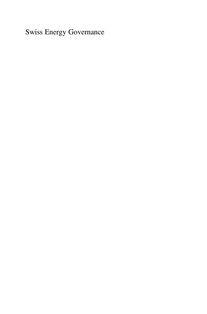Swiss Energy Governance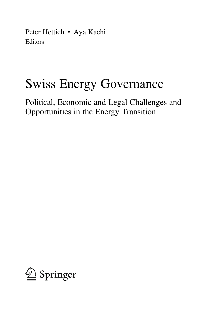Peter Hettich • Aya Kachi Editors

## Swiss Energy Governance

Political, Economic and Legal Challenges and Opportunities in the Energy Transition

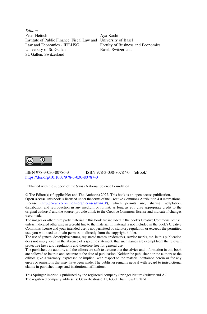**Editors** Peter Hettich Institute of Public Finance, Fiscal Law and University of Basel Law and Economics - IFF-HSG University of St. Gallen St. Gallen, Switzerland

Aya Kachi Faculty of Business and Economics Basel, Switzerland



ISBN 978-3-030-80786-3 ISBN 978-3-030-80787-0 (eBook) <https://doi.org/10.1007/978-3-030-80787-0>

Published with the support of the Swiss National Science Foundation

© The Editor(s) (if applicable) and The Author(s) 2022. This book is an open access publication. Open Access This book is licensed under the terms of the Creative Commons Attribution 4.0 International License ([http://creativecommons.org/licenses/by/4.0/\)](http://creativecommons.org/licenses/by/4.0/), which permits use, sharing, adaptation, distribution and reproduction in any medium or format, as long as you give appropriate credit to the original author(s) and the source, provide a link to the Creative Commons license and indicate if changes were made.

The images or other third party material in this book are included in the book's Creative Commons license, unless indicated otherwise in a credit line to the material. If material is not included in the book's Creative Commons license and your intended use is not permitted by statutory regulation or exceeds the permitted use, you will need to obtain permission directly from the copyright holder.

The use of general descriptive names, registered names, trademarks, service marks, etc. in this publication does not imply, even in the absence of a specific statement, that such names are exempt from the relevant protective laws and regulations and therefore free for general use.

The publisher, the authors, and the editors are safe to assume that the advice and information in this book are believed to be true and accurate at the date of publication. Neither the publisher nor the authors or the editors give a warranty, expressed or implied, with respect to the material contained herein or for any errors or omissions that may have been made. The publisher remains neutral with regard to jurisdictional claims in published maps and institutional affiliations.

This Springer imprint is published by the registered company Springer Nature Switzerland AG. The registered company address is: Gewerbestrasse 11, 6330 Cham, Switzerland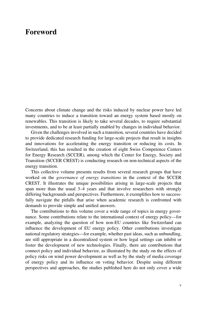## Foreword

Concerns about climate change and the risks induced by nuclear power have led many countries to induce a transition toward an energy system based mostly on renewables. This transition is likely to take several decades, to require substantial investments, and to be at least partially enabled by changes in individual behavior.

Given the challenges involved in such a transition, several countries have decided to provide dedicated research funding for large-scale projects that result in insights and innovations for accelerating the energy transition or reducing its costs. In Switzerland, this has resulted in the creation of eight Swiss Competence Centers for Energy Research (SCCER), among which the Center for Energy, Society and Transition (SCCER CREST) is conducting research on non-technical aspects of the energy transition.

This collective volume presents results from several research groups that have worked on the *governance of energy transitions* in the context of the SCCER CREST. It illustrates the unique possibilities arising in large-scale projects that span more than the usual 3–4 years and that involve researchers with strongly differing backgrounds and perspectives. Furthermore, it exemplifies how to successfully navigate the pitfalls that arise when academic research is confronted with demands to provide simple and unified answers.

The contributions to this volume cover a wide range of topics in energy governance. Some contributions relate to the international context of energy policy—for example, analyzing the question of how non-EU countries like Switzerland can influence the development of EU energy policy. Other contributions investigate national regulatory strategies—for example, whether past ideas, such as unbundling, are still appropriate in a decentralized system or how legal settings can inhibit or foster the development of new technologies. Finally, there are contributions that connect policy and individual behavior, as illustrated by the study on the effects of policy risks on wind power development as well as by the study of media coverage of energy policy and its influence on voting behavior. Despite using different perspectives and approaches, the studies published here do not only cover a wide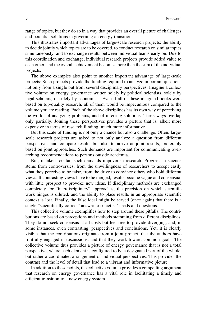range of topics, but they do so in a way that provides an overall picture of challenges and potential solutions in governing an energy transition.

This illustrates important advantages of large-scale research projects: the ability to decide jointly which topics are to be covered, to conduct research on similar topics simultaneously, and to exchange results between individual teams early on. Due to this coordination and exchange, individual research projects provide added value to each other, and the overall achievement becomes more than the sum of the individual projects.

The above examples also point to another important advantage of large-scale projects: Such projects provide the funding required to analyze important questions not only from a single but from several disciplinary perspectives. Imagine a collective volume on energy governance written solely by political scientists, solely by legal scholars, or solely by economists. Even if all of these imagined books were based on top-quality research, all of them would be impecunious compared to the volume you are reading. Each of the above disciplines has its own way of perceiving the world, of analyzing problems, and of inferring solutions. These ways overlap only partially. Joining these perspectives provides a picture that is, albeit more expensive in terms of research funding, much more informative.

But this scale of funding is not only a chance but also a challenge. Often, largescale research projects are asked to not only analyze a question from different perspectives and compare results but also to arrive at joint results, preferably based on joint approaches. Such demands are important for communicating overarching recommendations to persons outside academia.

But, if taken too far, such demands impoverish research. Progress in science stems from controversies, from the unwillingness of researchers to accept easily what they perceive to be false, from the drive to convince others who hold different views. If contrasting views have to be merged, results become vague and consensual with little prospect to provoke new ideas. If disciplinary methods are exchanged completely for "interdisciplinary" approaches, the precision on which scientific work hinges is diluted, and the ability to place results in an appropriate scientific context is lost. Finally, the false ideal might be served (once again) that there is a single "scientifically correct" answer to societies' needs and questions.

This collective volume exemplifies how to step around these pitfalls. The contributions are based on perceptions and methods stemming from different disciplines. They do not seek consensus at all costs but feel free to provide diverging, and, in some instances, even contrasting, perspectives and conclusions. Yet, it is clearly visible that the contributions originate from a joint project, that the authors have fruitfully engaged in discussions, and that they work toward common goals. The collective volume thus provides a picture of energy governance that is not a total perspective, where each element is configured to be a designated part of the whole, but rather a coordinated arrangement of individual perspectives. This provides the contrast and the level of detail that lead to a vibrant and informative picture.

In addition to these points, the collective volume provides a compelling argument that research on energy governance has a vital role in facilitating a timely and efficient transition to a new energy system.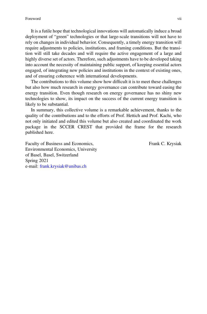It is a futile hope that technological innovations will automatically induce a broad deployment of "green" technologies or that large-scale transitions will not have to rely on changes in individual behavior. Consequently, a timely energy transition will require adjustments to policies, institutions, and framing conditions. But the transition will still take decades and will require the active engagement of a large and highly diverse set of actors. Therefore, such adjustments have to be developed taking into account the necessity of maintaining public support, of keeping essential actors engaged, of integrating new policies and institutions in the context of existing ones, and of ensuring coherence with international developments.

The contributions to this volume show how difficult it is to meet these challenges but also how much research in energy governance can contribute toward easing the energy transition. Even though research on energy governance has no shiny new technologies to show, its impact on the success of the current energy transition is likely to be substantial.

In summary, this collective volume is a remarkable achievement, thanks to the quality of the contributions and to the efforts of Prof. Hettich and Prof. Kachi, who not only initiated and edited this volume but also created and coordinated the work package in the SCCER CREST that provided the frame for the research published here.

Frank C. Krysiak

Faculty of Business and Economics, Environmental Economics, University of Basel, Basel, Switzerland Spring 2021 e-mail: [frank.krysiak@unibas.ch](mailto:frank.krysiak@unibas.ch)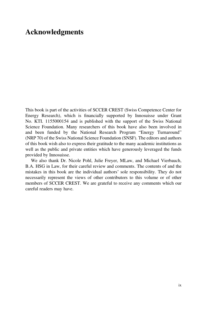## Acknowledgments

This book is part of the activities of SCCER CREST (Swiss Competence Center for Energy Research), which is financially supported by Innosuisse under Grant No. KTI. 1155000154 and is published with the support of the Swiss National Science Foundation. Many researchers of this book have also been involved in and been funded by the National Research Program "Energy Turnaround" (NRP 70) of the Swiss National Science Foundation (SNSF). The editors and authors of this book wish also to express their gratitude to the many academic institutions as well as the public and private entities which have generously leveraged the funds provided by Innosuisse.

We also thank Dr. Nicole Pohl, Julie Freyer, MLaw, and Michael Vierbauch, B.A. HSG in Law, for their careful review and comments. The contents of and the mistakes in this book are the individual authors' sole responsibility. They do not necessarily represent the views of other contributors to this volume or of other members of SCCER CREST. We are grateful to receive any comments which our careful readers may have.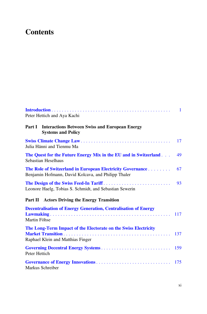## **Contents**

| Peter Hettich and Aya Kachi                                                                                       | $\mathbf{1}$ |
|-------------------------------------------------------------------------------------------------------------------|--------------|
| Part I Interactions Between Swiss and European Energy<br><b>Systems and Policy</b>                                |              |
| Julia Hänni and Tienmu Ma                                                                                         | 17           |
| The Quest for the Future Energy Mix in the EU and in Switzerland<br>Sebastian Heselhaus                           | 49           |
| The Role of Switzerland in European Electricity Governance<br>Benjamin Hofmann, David Kolcava, and Philipp Thaler | 67           |
| The Design of the Swiss Feed-In Tariff<br>Leonore Haelg, Tobias S. Schmidt, and Sebastian Sewerin                 | 93           |
| Part II Actors Driving the Energy Transition                                                                      |              |
| <b>Decentralisation of Energy Generation, Centralisation of Energy</b><br>Martin Föhse                            |              |
| The Long-Term Impact of the Electorate on the Swiss Electricity<br>Raphael Klein and Matthias Finger              | 137          |
| <b>Governing Decentral Energy Systems</b><br>Peter Hettich                                                        | 159          |
| Markus Schreiber                                                                                                  | 175          |